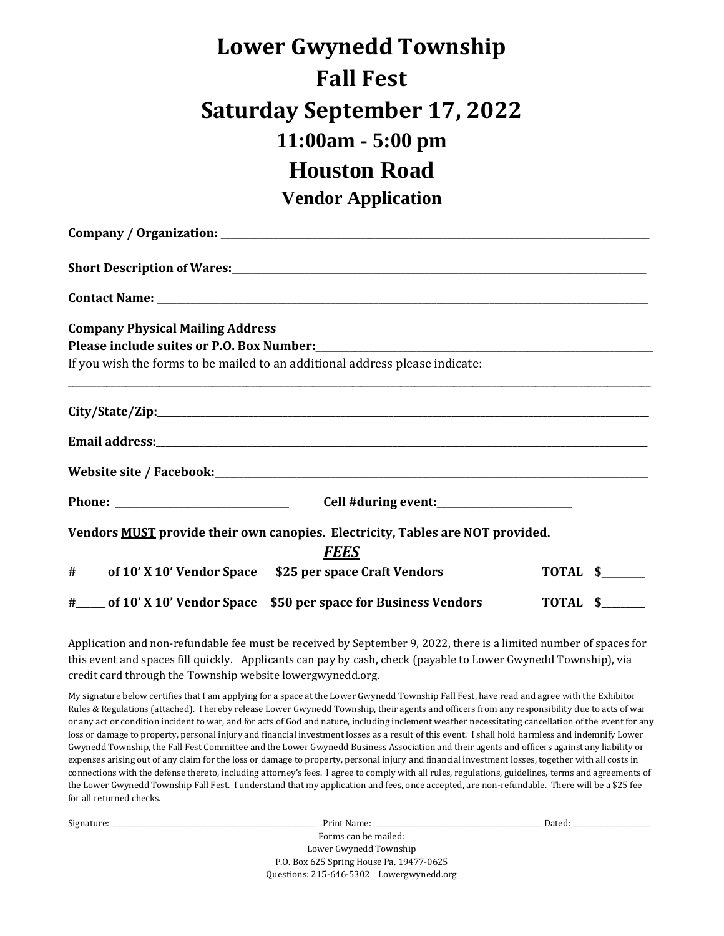## **Lower Gwynedd Township Fall Fest Saturday September 17, 2022 11:00am - 5:00 pm Houston Road Vendor Application**

**Company / Organization: \_\_\_\_\_\_\_\_\_\_\_\_\_\_\_\_\_\_\_\_\_\_\_\_\_\_\_\_\_\_\_\_\_\_\_\_\_\_\_\_\_\_\_\_\_\_\_\_\_\_\_\_\_\_\_\_\_\_\_\_\_\_\_\_\_\_\_\_\_\_\_\_\_\_\_\_\_\_\_\_\_\_\_\_\_\_\_\_\_ Short Description of Wares:\_\_\_\_\_\_\_\_\_\_\_\_\_\_\_\_\_\_\_\_\_\_\_\_\_\_\_\_\_\_\_\_\_\_\_\_\_\_\_\_\_\_\_\_\_\_\_\_\_\_\_\_\_\_\_\_\_\_\_\_\_\_\_\_\_\_\_\_\_\_\_\_\_\_\_\_\_\_\_\_\_\_\_\_\_\_ Contact Name: \_\_\_\_\_\_\_\_\_\_\_\_\_\_\_\_\_\_\_\_\_\_\_\_\_\_\_\_\_\_\_\_\_\_\_\_\_\_\_\_\_\_\_\_\_\_\_\_\_\_\_\_\_\_\_\_\_\_\_\_\_\_\_\_\_\_\_\_\_\_\_\_\_\_\_\_\_\_\_\_\_\_\_\_\_\_\_\_\_\_\_\_\_\_\_\_\_\_\_\_\_\_ Company Physical Mailing Address** Please include suites or P.O. Box Number: If you wish the forms to be mailed to an additional address please indicate: \_\_\_\_\_\_\_\_\_\_\_\_\_\_\_\_\_\_\_\_\_\_\_\_\_\_\_\_\_\_\_\_\_\_\_\_\_\_\_\_\_\_\_\_\_\_\_\_\_\_\_\_\_\_\_\_\_\_\_\_\_\_\_\_\_\_\_\_\_\_\_\_\_\_\_\_\_\_\_\_\_\_\_\_\_\_\_\_\_\_\_\_\_\_\_\_\_\_\_\_\_\_\_\_\_\_\_\_\_\_\_\_\_\_\_\_\_\_\_\_\_ **City/State/Zip:\_\_\_\_\_\_\_\_\_\_\_\_\_\_\_\_\_\_\_\_\_\_\_\_\_\_\_\_\_\_\_\_\_\_\_\_\_\_\_\_\_\_\_\_\_\_\_\_\_\_\_\_\_\_\_\_\_\_\_\_\_\_\_\_\_\_\_\_\_\_\_\_\_\_\_\_\_\_\_\_\_\_\_\_\_\_\_\_\_\_\_\_\_\_\_\_\_\_\_\_\_\_ Email address:\_\_\_\_\_\_\_\_\_\_\_\_\_\_\_\_\_\_\_\_\_\_\_\_\_\_\_\_\_\_\_\_\_\_\_\_\_\_\_\_\_\_\_\_\_\_\_\_\_\_\_\_\_\_\_\_\_\_\_\_\_\_\_\_\_\_\_\_\_\_\_\_\_\_\_\_\_\_\_\_\_\_\_\_\_\_\_\_\_\_\_\_\_\_\_\_\_\_\_\_\_\_ Website site / Facebook:\_\_\_\_\_\_\_\_\_\_\_\_\_\_\_\_\_\_\_\_\_\_\_\_\_\_\_\_\_\_\_\_\_\_\_\_\_\_\_\_\_\_\_\_\_\_\_\_\_\_\_\_\_\_\_\_\_\_\_\_\_\_\_\_\_\_\_\_\_\_\_\_\_\_\_\_\_\_\_\_\_\_\_\_\_\_\_\_\_\_ Phone: \_\_\_\_\_\_\_\_\_\_\_\_\_\_\_\_\_\_\_\_\_\_\_\_\_\_\_\_\_\_\_\_\_\_\_\_ Cell #during event:\_\_\_\_\_\_\_\_\_\_\_\_\_\_\_\_\_\_\_\_\_\_\_\_\_\_\_\_ Vendors MUST provide their own canopies. Electricity, Tables are NOT provided.** *FEES* **#\_\_\_\_\_\_ of 10' X 10' Vendor Space \$25 per space Craft Vendors TOTAL \$\_\_\_\_\_\_\_\_\_ #\_\_\_\_\_\_ of 10' X 10' Vendor Space \$50 per space for Business Vendors TOTAL \$\_\_\_\_\_\_\_\_\_**

Application and non-refundable fee must be received by September 9, 2022, there is a limited number of spaces for this event and spaces fill quickly. Applicants can pay by cash, check (payable to Lower Gwynedd Township), via credit card through the Township website lowergwynedd.org.

My signature below certifies that I am applying for a space at the Lower Gwynedd Township Fall Fest, have read and agree with the Exhibitor Rules & Regulations (attached). I hereby release Lower Gwynedd Township, their agents and officers from any responsibility due to acts of war or any act or condition incident to war, and for acts of God and nature, including inclement weather necessitating cancellation of the event for any loss or damage to property, personal injury and financial investment losses as a result of this event. I shall hold harmless and indemnify Lower Gwynedd Township, the Fall Fest Committee and the Lower Gwynedd Business Association and their agents and officers against any liability or expenses arising out of any claim for the loss or damage to property, personal injury and financial investment losses, together with all costs in connections with the defense thereto, including attorney's fees. I agree to comply with all rules, regulations, guidelines, terms and agreements of the Lower Gwynedd Township Fall Fest. I understand that my application and fees, once accepted, are non-refundable. There will be a \$25 fee for all returned checks.

| Signature: | Print Name:                              | Dated: |
|------------|------------------------------------------|--------|
|            | Forms can be mailed:                     |        |
|            | Lower Gwynedd Township                   |        |
|            | P.O. Box 625 Spring House Pa, 19477-0625 |        |
|            | Questions: 215-646-5302 Lowergwynedd.org |        |